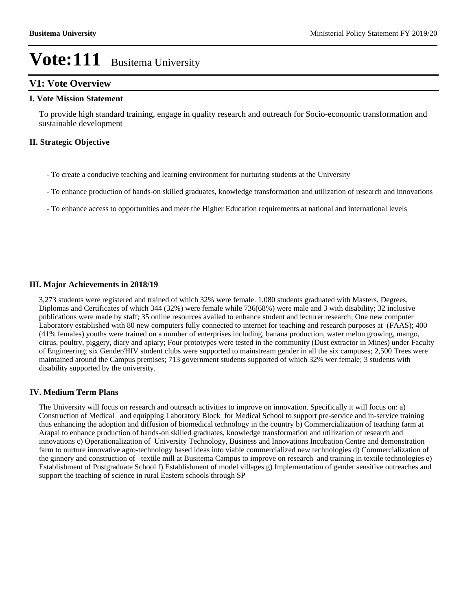# **V1: Vote Overview**

#### **I. Vote Mission Statement**

To provide high standard training, engage in quality research and outreach for Socio-economic transformation and sustainable development

### **II. Strategic Objective**

- To create a conducive teaching and learning environment for nurturing students at the University
- To enhance production of hands-on skilled graduates, knowledge transformation and utilization of research and innovations
- To enhance access to opportunities and meet the Higher Education requirements at national and international levels

#### **III. Major Achievements in 2018/19**

3,273 students were registered and trained of which 32% were female. 1,080 students graduated with Masters, Degrees, Diplomas and Certificates of which 344 (32%) were female while 736(68%) were male and 3 with disability; 32 inclusive publications were made by staff; 35 online resources availed to enhance student and lecturer research; One new computer Laboratory established with 80 new computers fully connected to internet for teaching and research purposes at (FAAS); 400 (41% females) youths were trained on a number of enterprises including, banana production, water melon growing, mango, citrus, poultry, piggery, diary and apiary; Four prototypes were tested in the community (Dust extractor in Mines) under Faculty of Engineering; six Gender/HIV student clubs were supported to mainstream gender in all the six campuses; 2,500 Trees were maintained around the Campus premises; 713 government students supported of which 32% wer female; 3 students with disability supported by the university.

#### **IV. Medium Term Plans**

The University will focus on research and outreach activities to improve on innovation. Specifically it will focus on: a) Construction of Medical and equipping Laboratory Block for Medical School to support pre-service and in-service training thus enhancing the adoption and diffusion of biomedical technology in the country b) Commercialization of teaching farm at Arapai to enhance production of hands-on skilled graduates, knowledge transformation and utilization of research and innovations c) Operationalization of University Technology, Business and Innovations Incubation Centre and demonstration farm to nurture innovative agro-technology based ideas into viable commercialized new technologies d) Commercialization of the ginnery and construction of textile mill at Busitema Campus to improve on research and training in textile technologies e) Establishment of Postgraduate School f) Establishment of model villages g) Implementation of gender sensitive outreaches and support the teaching of science in rural Eastern schools through SP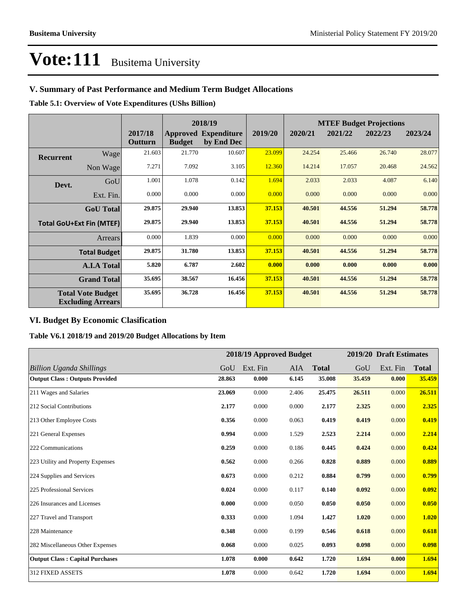# **V. Summary of Past Performance and Medium Term Budget Allocations**

**Table 5.1: Overview of Vote Expenditures (UShs Billion)**

|                  |                                                      |                    |               | 2018/19                                   |         |         |         | <b>MTEF Budget Projections</b> |         |
|------------------|------------------------------------------------------|--------------------|---------------|-------------------------------------------|---------|---------|---------|--------------------------------|---------|
|                  |                                                      | 2017/18<br>Outturn | <b>Budget</b> | <b>Approved Expenditure</b><br>by End Dec | 2019/20 | 2020/21 | 2021/22 | 2022/23                        | 2023/24 |
| <b>Recurrent</b> | Wage                                                 | 21.603             | 21.770        | 10.607                                    | 23.099  | 24.254  | 25.466  | 26.740                         | 28.077  |
|                  | Non Wage                                             | 7.271              | 7.092         | 3.105                                     | 12.360  | 14.214  | 17.057  | 20.468                         | 24.562  |
| Devt.            | GoU                                                  | 1.001              | 1.078         | 0.142                                     | 1.694   | 2.033   | 2.033   | 4.087                          | 6.140   |
|                  | Ext. Fin.                                            | 0.000              | 0.000         | 0.000                                     | 0.000   | 0.000   | 0.000   | 0.000                          | 0.000   |
|                  | <b>GoU</b> Total                                     | 29.875             | 29.940        | 13.853                                    | 37.153  | 40.501  | 44.556  | 51.294                         | 58.778  |
|                  | <b>Total GoU+Ext Fin (MTEF)</b>                      | 29.875             | 29.940        | 13.853                                    | 37.153  | 40.501  | 44.556  | 51.294                         | 58.778  |
|                  | Arrears                                              | 0.000              | 1.839         | 0.000                                     | 0.000   | 0.000   | 0.000   | 0.000                          | 0.000   |
|                  | <b>Total Budget</b>                                  | 29.875             | 31.780        | 13.853                                    | 37.153  | 40.501  | 44.556  | 51.294                         | 58.778  |
|                  | <b>A.I.A Total</b>                                   | 5.820              | 6.787         | 2.602                                     | 0.000   | 0.000   | 0.000   | 0.000                          | 0.000   |
|                  | <b>Grand Total</b>                                   | 35.695             | 38.567        | 16.456                                    | 37.153  | 40.501  | 44.556  | 51.294                         | 58.778  |
|                  | <b>Total Vote Budget</b><br><b>Excluding Arrears</b> | 35.695             | 36.728        | 16.456                                    | 37.153  | 40.501  | 44.556  | 51.294                         | 58.778  |

### **VI. Budget By Economic Clasification**

**Table V6.1 2018/19 and 2019/20 Budget Allocations by Item**

|                                        |        |          | 2018/19 Approved Budget |              |        | 2019/20 Draft Estimates |              |
|----------------------------------------|--------|----------|-------------------------|--------------|--------|-------------------------|--------------|
| <b>Billion Uganda Shillings</b>        | GoU    | Ext. Fin | AIA                     | <b>Total</b> | GoU    | Ext. Fin                | <b>Total</b> |
| <b>Output Class: Outputs Provided</b>  | 28.863 | 0.000    | 6.145                   | 35.008       | 35.459 | 0.000                   | 35.459       |
| 211 Wages and Salaries                 | 23.069 | 0.000    | 2.406                   | 25.475       | 26.511 | 0.000                   | 26.511       |
| 212 Social Contributions               | 2.177  | 0.000    | 0.000                   | 2.177        | 2.325  | 0.000                   | 2.325        |
| 213 Other Employee Costs               | 0.356  | 0.000    | 0.063                   | 0.419        | 0.419  | 0.000                   | 0.419        |
| 221 General Expenses                   | 0.994  | 0.000    | 1.529                   | 2.523        | 2.214  | 0.000                   | 2.214        |
| 222 Communications                     | 0.259  | 0.000    | 0.186                   | 0.445        | 0.424  | 0.000                   | 0.424        |
| 223 Utility and Property Expenses      | 0.562  | 0.000    | 0.266                   | 0.828        | 0.889  | 0.000                   | 0.889        |
| 224 Supplies and Services              | 0.673  | 0.000    | 0.212                   | 0.884        | 0.799  | 0.000                   | 0.799        |
| 225 Professional Services              | 0.024  | 0.000    | 0.117                   | 0.140        | 0.092  | 0.000                   | 0.092        |
| 226 Insurances and Licenses            | 0.000  | 0.000    | 0.050                   | 0.050        | 0.050  | 0.000                   | 0.050        |
| 227 Travel and Transport               | 0.333  | 0.000    | 1.094                   | 1.427        | 1.020  | 0.000                   | 1.020        |
| 228 Maintenance                        | 0.348  | 0.000    | 0.199                   | 0.546        | 0.618  | 0.000                   | 0.618        |
| 282 Miscellaneous Other Expenses       | 0.068  | 0.000    | 0.025                   | 0.093        | 0.098  | 0.000                   | 0.098        |
| <b>Output Class: Capital Purchases</b> | 1.078  | 0.000    | 0.642                   | 1.720        | 1.694  | 0.000                   | 1.694        |
| 312 FIXED ASSETS                       | 1.078  | 0.000    | 0.642                   | 1.720        | 1.694  | 0.000                   | 1.694        |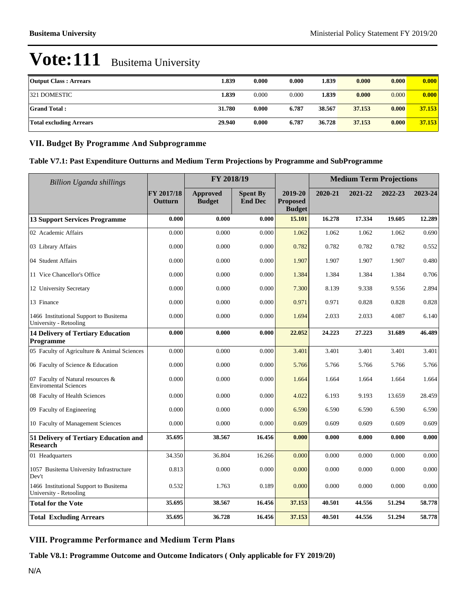| <b>Output Class: Arrears</b>   | 1.839  | 0.000 | 0.000 | 1.839  | 0.000  | 0.000 | 0.000  |
|--------------------------------|--------|-------|-------|--------|--------|-------|--------|
| 321 DOMESTIC                   | 1.839  | 0.000 | 0.000 | 1.839  | 0.000  | 0.000 | 0.000  |
| <b>Grand Total:</b>            | 31.780 | 0.000 | 6.787 | 38.567 | 37.153 | 0.000 | 37.153 |
| <b>Total excluding Arrears</b> | 29.940 | 0.000 | 6.787 | 36.728 | 37.153 | 0.000 | 37.153 |

### **VII. Budget By Programme And Subprogramme**

| Table V7.1: Past Expenditure Outturns and Medium Term Projections by Programme and SubProgramme |  |  |
|-------------------------------------------------------------------------------------------------|--|--|
|-------------------------------------------------------------------------------------------------|--|--|

| Billion Uganda shillings                                          |                       | FY 2018/19                       |                                   |                                             | <b>Medium Term Projections</b> |         |         |         |
|-------------------------------------------------------------------|-----------------------|----------------------------------|-----------------------------------|---------------------------------------------|--------------------------------|---------|---------|---------|
|                                                                   | FY 2017/18<br>Outturn | <b>Approved</b><br><b>Budget</b> | <b>Spent By</b><br><b>End Dec</b> | 2019-20<br><b>Proposed</b><br><b>Budget</b> | 2020-21                        | 2021-22 | 2022-23 | 2023-24 |
| <b>13 Support Services Programme</b>                              | 0.000                 | 0.000                            | 0.000                             | 15.101                                      | 16.278                         | 17.334  | 19.605  | 12.289  |
| 02 Academic Affairs                                               | 0.000                 | 0.000                            | 0.000                             | 1.062                                       | 1.062                          | 1.062   | 1.062   | 0.690   |
| 03 Library Affairs                                                | 0.000                 | 0.000                            | 0.000                             | 0.782                                       | 0.782                          | 0.782   | 0.782   | 0.552   |
| 04 Student Affairs                                                | 0.000                 | 0.000                            | 0.000                             | 1.907                                       | 1.907                          | 1.907   | 1.907   | 0.480   |
| 11 Vice Chancellor's Office                                       | 0.000                 | 0.000                            | 0.000                             | 1.384                                       | 1.384                          | 1.384   | 1.384   | 0.706   |
| 12 University Secretary                                           | 0.000                 | 0.000                            | 0.000                             | 7.300                                       | 8.139                          | 9.338   | 9.556   | 2.894   |
| 13 Finance                                                        | 0.000                 | 0.000                            | 0.000                             | 0.971                                       | 0.971                          | 0.828   | 0.828   | 0.828   |
| 1466 Institutional Support to Busitema<br>University - Retooling  | 0.000                 | 0.000                            | 0.000                             | 1.694                                       | 2.033                          | 2.033   | 4.087   | 6.140   |
| <b>14 Delivery of Tertiary Education</b><br>Programme             | 0.000                 | 0.000                            | 0.000                             | 22.052                                      | 24.223                         | 27.223  | 31.689  | 46.489  |
| 05 Faculty of Agriculture & Animal Sciences                       | 0.000                 | 0.000                            | 0.000                             | 3.401                                       | 3.401                          | 3.401   | 3.401   | 3.401   |
| 06 Faculty of Science & Education                                 | 0.000                 | 0.000                            | 0.000                             | 5.766                                       | 5.766                          | 5.766   | 5.766   | 5.766   |
| 07 Faculty of Natural resources &<br><b>Enviromental Sciences</b> | 0.000                 | 0.000                            | 0.000                             | 1.664                                       | 1.664                          | 1.664   | 1.664   | 1.664   |
| 08 Faculty of Health Sciences                                     | 0.000                 | 0.000                            | 0.000                             | 4.022                                       | 6.193                          | 9.193   | 13.659  | 28.459  |
| 09 Faculty of Engineering                                         | 0.000                 | 0.000                            | 0.000                             | 6.590                                       | 6.590                          | 6.590   | 6.590   | 6.590   |
| 10 Faculty of Management Sciences                                 | 0.000                 | 0.000                            | 0.000                             | 0.609                                       | 0.609                          | 0.609   | 0.609   | 0.609   |
| 51 Delivery of Tertiary Education and<br><b>Research</b>          | 35.695                | 38.567                           | 16.456                            | 0.000                                       | 0.000                          | 0.000   | 0.000   | 0.000   |
| 01 Headquarters                                                   | 34.350                | 36.804                           | 16.266                            | 0.000                                       | 0.000                          | 0.000   | 0.000   | 0.000   |
| 1057 Busitema University Infrastructure<br>Dev't                  | 0.813                 | 0.000                            | 0.000                             | 0.000                                       | 0.000                          | 0.000   | 0.000   | 0.000   |
| 1466 Institutional Support to Busitema<br>University - Retooling  | 0.532                 | 1.763                            | 0.189                             | 0.000                                       | 0.000                          | 0.000   | 0.000   | 0.000   |
| <b>Total for the Vote</b>                                         | 35.695                | 38.567                           | 16.456                            | 37.153                                      | 40.501                         | 44.556  | 51.294  | 58.778  |
| <b>Total Excluding Arrears</b>                                    | 35.695                | 36.728                           | 16.456                            | 37.153                                      | 40.501                         | 44.556  | 51.294  | 58.778  |

# **VIII. Programme Performance and Medium Term Plans**

**Table V8.1: Programme Outcome and Outcome Indicators ( Only applicable for FY 2019/20)**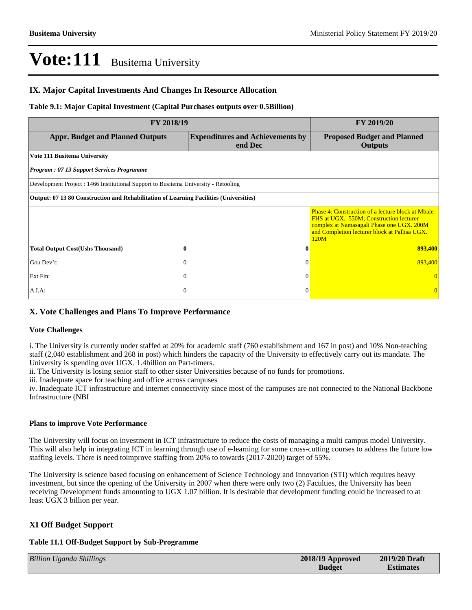#### **IX. Major Capital Investments And Changes In Resource Allocation**

#### **Table 9.1: Major Capital Investment (Capital Purchases outputs over 0.5Billion)**

| FY 2018/19                                                                             | FY 2019/20                                         |                                                                                                                                                                                                           |
|----------------------------------------------------------------------------------------|----------------------------------------------------|-----------------------------------------------------------------------------------------------------------------------------------------------------------------------------------------------------------|
| <b>Appr. Budget and Planned Outputs</b>                                                | <b>Expenditures and Achievements by</b><br>end Dec | <b>Proposed Budget and Planned</b><br><b>Outputs</b>                                                                                                                                                      |
| Vote 111 Busitema University                                                           |                                                    |                                                                                                                                                                                                           |
| <b>Program: 07 13 Support Services Programme</b>                                       |                                                    |                                                                                                                                                                                                           |
| Development Project : 1466 Institutional Support to Busitema University - Retooling    |                                                    |                                                                                                                                                                                                           |
| Output: 07 13 80 Construction and Rehabilitation of Learning Facilities (Universities) |                                                    |                                                                                                                                                                                                           |
|                                                                                        |                                                    | <b>Phase 4: Construction of a lecture block at Mbale</b><br>FHS at UGX. 550M; Construction lecturer<br>complex at Namasagali Phase one UGX. 200M<br>and Completion lecturer block at Pallisa UGX.<br>120M |
| <b>Total Output Cost(Ushs Thousand)</b>                                                | 0<br>Ð                                             | 893,400                                                                                                                                                                                                   |
| Gou Dev't:                                                                             | $\mathbf{0}$<br>$\Omega$                           | 893,400                                                                                                                                                                                                   |
| Ext Fin:                                                                               | $\theta$<br>$\Omega$                               |                                                                                                                                                                                                           |
| $A.I.A$ :                                                                              | $\mathbf{0}$<br>$\Omega$                           | $\overline{0}$                                                                                                                                                                                            |

#### **X. Vote Challenges and Plans To Improve Performance**

#### **Vote Challenges**

i. The University is currently under staffed at 20% for academic staff (760 establishment and 167 in post) and 10% Non-teaching staff (2,040 establishment and 268 in post) which hinders the capacity of the University to effectively carry out its mandate. The University is spending over UGX. 1.4billion on Part-timers.

ii. The University is losing senior staff to other sister Universities because of no funds for promotions.

iii. Inadequate space for teaching and office across campuses

iv. Inadequate ICT infrastructure and internet connectivity since most of the campuses are not connected to the National Backbone Infrastructure (NBI

#### **Plans to improve Vote Performance**

The University will focus on investment in ICT infrastructure to reduce the costs of managing a multi campus model University. This will also help in integrating ICT in learning through use of e-learning for some cross-cutting courses to address the future low staffing levels. There is need toimprove staffing from 20% to towards (2017-2020) target of 55%.

The University is science based focusing on enhancement of Science Technology and Innovation (STI) which requires heavy investment, but since the opening of the University in 2007 when there were only two (2) Faculties, the University has been receiving Development funds amounting to UGX 1.07 billion. It is desirable that development funding could be increased to at least UGX 3 billion per year.

#### **XI Off Budget Support**

#### **Table 11.1 Off-Budget Support by Sub-Programme**

| <b>Billion Uganda Shillings</b> | 2018/19 Approved | 2019/20 Draft    |
|---------------------------------|------------------|------------------|
|                                 | <b>Budget</b>    | <b>Estimates</b> |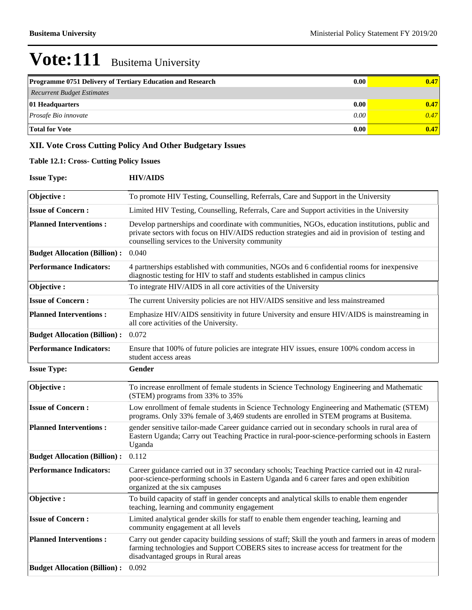| <b>Programme 0751 Delivery of Tertiary Education and Research</b> | 0.00 | 0.47 |
|-------------------------------------------------------------------|------|------|
| Recurrent Budget Estimates                                        |      |      |
| 01 Headquarters                                                   | 0.00 | 0.47 |
| <i>Prosafe Bio innovate</i>                                       | 0.00 | 0.47 |
| <b>Total for Vote</b>                                             | 0.00 | 0.47 |

# **XII. Vote Cross Cutting Policy And Other Budgetary Issues**

### **Table 12.1: Cross- Cutting Policy Issues**

**Issue Type: HIV/AIDS**

| Objective:                          | To promote HIV Testing, Counselling, Referrals, Care and Support in the University                                                                                                                                                                    |
|-------------------------------------|-------------------------------------------------------------------------------------------------------------------------------------------------------------------------------------------------------------------------------------------------------|
| <b>Issue of Concern:</b>            | Limited HIV Testing, Counselling, Referrals, Care and Support activities in the University                                                                                                                                                            |
| <b>Planned Interventions:</b>       | Develop partnerships and coordinate with communities, NGOs, education institutions, public and<br>private sectors with focus on HIV/AIDS reduction strategies and aid in provision of testing and<br>counselling services to the University community |
| <b>Budget Allocation (Billion):</b> | 0.040                                                                                                                                                                                                                                                 |
| <b>Performance Indicators:</b>      | 4 partnerships established with communities, NGOs and 6 confidential rooms for inexpensive<br>diagnostic testing for HIV to staff and students established in campus clinics                                                                          |
| Objective:                          | To integrate HIV/AIDS in all core activities of the University                                                                                                                                                                                        |
| <b>Issue of Concern:</b>            | The current University policies are not HIV/AIDS sensitive and less mainstreamed                                                                                                                                                                      |
| <b>Planned Interventions:</b>       | Emphasize HIV/AIDS sensitivity in future University and ensure HIV/AIDS is mainstreaming in<br>all core activities of the University.                                                                                                                 |
| <b>Budget Allocation (Billion):</b> | 0.072                                                                                                                                                                                                                                                 |
| <b>Performance Indicators:</b>      | Ensure that 100% of future policies are integrate HIV issues, ensure 100% condom access in<br>student access areas                                                                                                                                    |
|                                     |                                                                                                                                                                                                                                                       |
| <b>Issue Type:</b>                  | Gender                                                                                                                                                                                                                                                |
| Objective:                          | To increase enrollment of female students in Science Technology Engineering and Mathematic<br>(STEM) programs from 33% to 35%                                                                                                                         |
| <b>Issue of Concern:</b>            | Low enrollment of female students in Science Technology Engineering and Mathematic (STEM)<br>programs. Only 33% female of 3,469 students are enrolled in STEM programs at Busitema.                                                                   |
| <b>Planned Interventions:</b>       | gender sensitive tailor-made Career guidance carried out in secondary schools in rural area of<br>Eastern Uganda; Carry out Teaching Practice in rural-poor-science-performing schools in Eastern<br>Uganda                                           |
| <b>Budget Allocation (Billion):</b> | 0.112                                                                                                                                                                                                                                                 |
| <b>Performance Indicators:</b>      | Career guidance carried out in 37 secondary schools; Teaching Practice carried out in 42 rural-<br>poor-science-performing schools in Eastern Uganda and 6 career fares and open exhibition<br>organized at the six campuses                          |
| Objective:                          | To build capacity of staff in gender concepts and analytical skills to enable them engender<br>teaching, learning and community engagement                                                                                                            |
| <b>Issue of Concern:</b>            | Limited analytical gender skills for staff to enable them engender teaching, learning and<br>community engagement at all levels                                                                                                                       |
| <b>Planned Interventions:</b>       | Carry out gender capacity building sessions of staff; Skill the youth and farmers in areas of modern<br>farming technologies and Support COBERS sites to increase access for treatment for the<br>disadvantaged groups in Rural areas                 |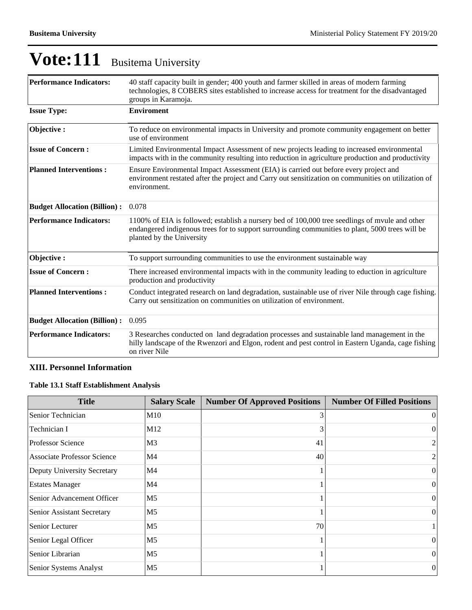| <b>Performance Indicators:</b>      | 40 staff capacity built in gender; 400 youth and farmer skilled in areas of modern farming<br>technologies, 8 COBERS sites established to increase access for treatment for the disadvantaged<br>groups in Karamoja.           |
|-------------------------------------|--------------------------------------------------------------------------------------------------------------------------------------------------------------------------------------------------------------------------------|
| <b>Issue Type:</b>                  | <b>Enviroment</b>                                                                                                                                                                                                              |
| Objective:                          | To reduce on environmental impacts in University and promote community engagement on better<br>use of environment                                                                                                              |
| <b>Issue of Concern:</b>            | Limited Environmental Impact Assessment of new projects leading to increased environmental<br>impacts with in the community resulting into reduction in agriculture production and productivity                                |
| <b>Planned Interventions:</b>       | Ensure Environmental Impact Assessment (EIA) is carried out before every project and<br>environment restated after the project and Carry out sensitization on communities on utilization of<br>environment.                    |
| <b>Budget Allocation (Billion):</b> | 0.078                                                                                                                                                                                                                          |
| <b>Performance Indicators:</b>      | 1100% of EIA is followed; establish a nursery bed of 100,000 tree seedlings of myule and other<br>endangered indigenous trees for to support surrounding communities to plant, 5000 trees will be<br>planted by the University |
| Objective:                          | To support surrounding communities to use the environment sustainable way                                                                                                                                                      |
| <b>Issue of Concern:</b>            | There increased environmental impacts with in the community leading to eduction in agriculture<br>production and productivity                                                                                                  |
| <b>Planned Interventions:</b>       | Conduct integrated research on land degradation, sustainable use of river Nile through cage fishing.<br>Carry out sensitization on communities on utilization of environment.                                                  |
| <b>Budget Allocation (Billion):</b> | 0.095                                                                                                                                                                                                                          |
| <b>Performance Indicators:</b>      | 3 Researches conducted on land degradation processes and sustainable land management in the<br>hilly landscape of the Rwenzori and Elgon, rodent and pest control in Eastern Uganda, cage fishing<br>on river Nile             |

# **XIII. Personnel Information**

# **Table 13.1 Staff Establishment Analysis**

| <b>Title</b>                       | <b>Salary Scale</b> | <b>Number Of Approved Positions</b> | <b>Number Of Filled Positions</b> |
|------------------------------------|---------------------|-------------------------------------|-----------------------------------|
| Senior Technician                  | M10                 | 3                                   | $\theta$                          |
| Technician I                       | M12                 |                                     | 0                                 |
| <b>Professor Science</b>           | M <sub>3</sub>      | 41                                  | 2 <sub>1</sub>                    |
| <b>Associate Professor Science</b> | M4                  | 40                                  | $\overline{2}$                    |
| Deputy University Secretary        | M <sub>4</sub>      |                                     | $\vert$ 0                         |
| <b>Estates Manager</b>             | M4                  |                                     | $\theta$                          |
| Senior Advancement Officer         | M <sub>5</sub>      |                                     | $\theta$                          |
| <b>Senior Assistant Secretary</b>  | M <sub>5</sub>      |                                     | $\theta$                          |
| Senior Lecturer                    | M <sub>5</sub>      | 70                                  |                                   |
| Senior Legal Officer               | M <sub>5</sub>      |                                     | $\theta$                          |
| Senior Librarian                   | M <sub>5</sub>      |                                     | $\vert$ 0                         |
| Senior Systems Analyst             | M <sub>5</sub>      |                                     | $\overline{0}$                    |